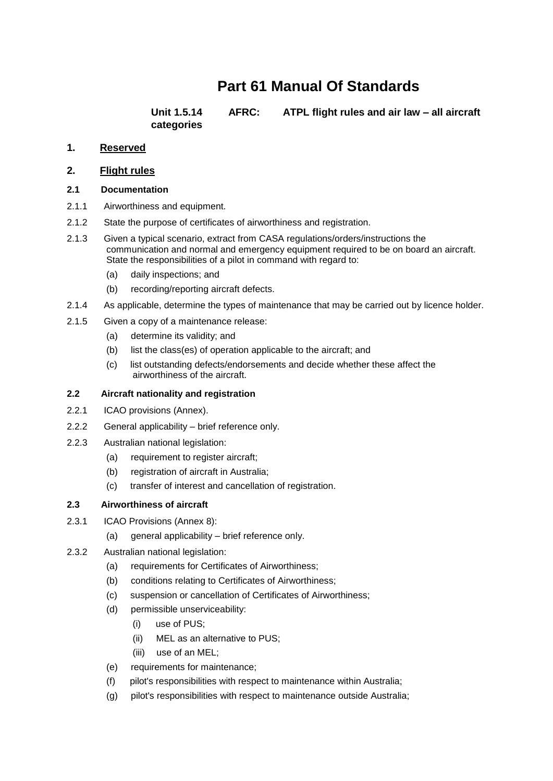# **Part 61 Manual Of Standards**

**categories**

**Unit 1.5.14 AFRC: ATPL flight rules and air law – all aircraft** 

# **1. Reserved**

#### **2. Flight rules**

#### **2.1 Documentation**

- 2.1.1 Airworthiness and equipment.
- 2.1.2 State the purpose of certificates of airworthiness and registration.
- 2.1.3 Given a typical scenario, extract from CASA regulations/orders/instructions the communication and normal and emergency equipment required to be on board an aircraft. State the responsibilities of a pilot in command with regard to:
	- (a) daily inspections; and
	- (b) recording/reporting aircraft defects.
- 2.1.4 As applicable, determine the types of maintenance that may be carried out by licence holder.
- 2.1.5 Given a copy of a maintenance release:
	- (a) determine its validity; and
	- (b) list the class(es) of operation applicable to the aircraft; and
	- (c) list outstanding defects/endorsements and decide whether these affect the airworthiness of the aircraft.

## **2.2 Aircraft nationality and registration**

- 2.2.1 ICAO provisions (Annex).
- 2.2.2 General applicability brief reference only.
- 2.2.3 Australian national legislation:
	- (a) requirement to register aircraft;
	- (b) registration of aircraft in Australia;
	- (c) transfer of interest and cancellation of registration.

#### **2.3 Airworthiness of aircraft**

- 2.3.1 ICAO Provisions (Annex 8):
	- (a) general applicability brief reference only.
- 2.3.2 Australian national legislation:
	- (a) requirements for Certificates of Airworthiness;
	- (b) conditions relating to Certificates of Airworthiness;
	- (c) suspension or cancellation of Certificates of Airworthiness;
	- (d) permissible unserviceability:
		- (i) use of PUS;
		- (ii) MEL as an alternative to PUS;
		- (iii) use of an MEL;
	- (e) requirements for maintenance;
	- (f) pilot's responsibilities with respect to maintenance within Australia;
	- (g) pilot's responsibilities with respect to maintenance outside Australia;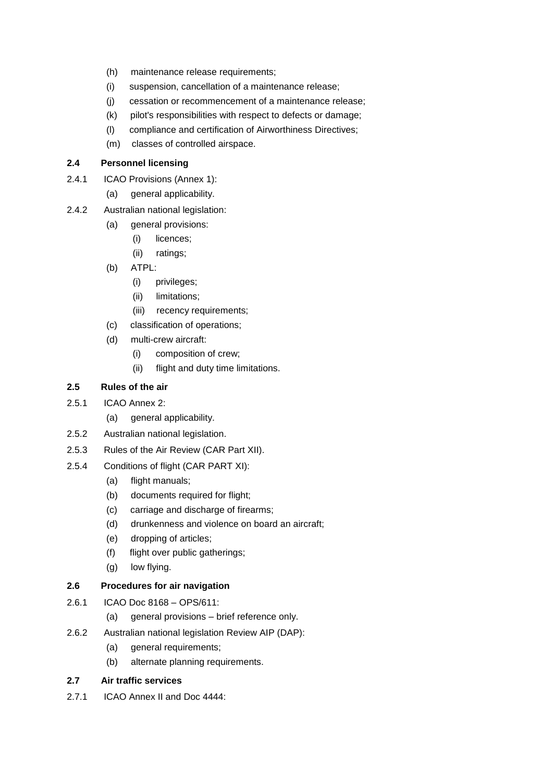- (h) maintenance release requirements;
- (i) suspension, cancellation of a maintenance release;
- (j) cessation or recommencement of a maintenance release;
- (k) pilot's responsibilities with respect to defects or damage;
- (l) compliance and certification of Airworthiness Directives;
- (m) classes of controlled airspace.

## **2.4 Personnel licensing**

- 2.4.1 ICAO Provisions (Annex 1):
	- (a) general applicability.
- 2.4.2 Australian national legislation:
	- (a) general provisions:
		- (i) licences;
		- (ii) ratings;
	- (b) ATPL:
		- (i) privileges;
		- (ii) limitations;
		- (iii) recency requirements;
	- (c) classification of operations;
	- (d) multi-crew aircraft:
		- (i) composition of crew;
		- (ii) flight and duty time limitations.

# **2.5 Rules of the air**

- 2.5.1 ICAO Annex 2:
	- (a) general applicability.
- 2.5.2 Australian national legislation.
- 2.5.3 Rules of the Air Review (CAR Part XII).
- 2.5.4 Conditions of flight (CAR PART XI):
	- (a) flight manuals;
	- (b) documents required for flight;
	- (c) carriage and discharge of firearms;
	- (d) drunkenness and violence on board an aircraft;
	- (e) dropping of articles;
	- (f) flight over public gatherings;
	- (g) low flying.

# **2.6 Procedures for air navigation**

- 2.6.1 ICAO Doc 8168 OPS/611:
	- (a) general provisions brief reference only.
- 2.6.2 Australian national legislation Review AIP (DAP):
	- (a) general requirements;
	- (b) alternate planning requirements.

## **2.7 Air traffic services**

2.7.1 ICAO Annex II and Doc 4444: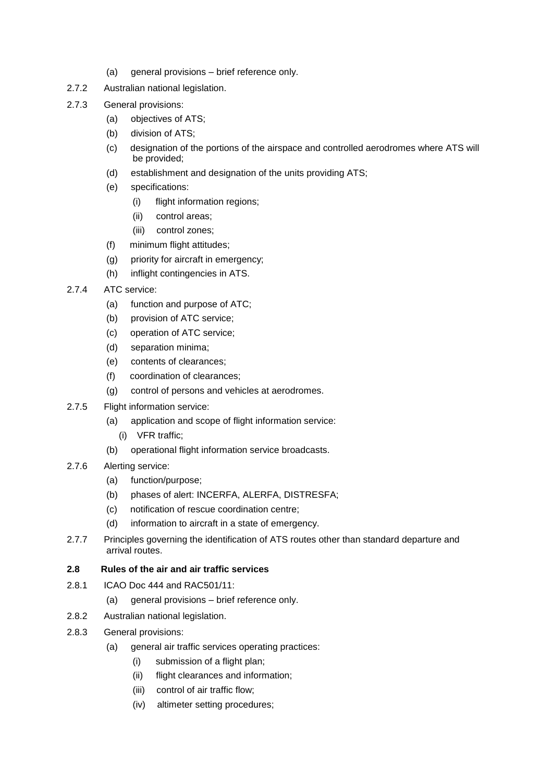- (a) general provisions brief reference only.
- 2.7.2 Australian national legislation.
- 2.7.3 General provisions:
	- (a) objectives of ATS;
	- (b) division of ATS;
	- (c) designation of the portions of the airspace and controlled aerodromes where ATS will be provided;
	- (d) establishment and designation of the units providing ATS;
	- (e) specifications:
		- (i) flight information regions;
		- (ii) control areas;
		- (iii) control zones;
	- (f) minimum flight attitudes;
	- (g) priority for aircraft in emergency;
	- (h) inflight contingencies in ATS.
- 2.7.4 ATC service:
	- (a) function and purpose of ATC;
	- (b) provision of ATC service;
	- (c) operation of ATC service;
	- (d) separation minima;
	- (e) contents of clearances;
	- (f) coordination of clearances;
	- (g) control of persons and vehicles at aerodromes.
- 2.7.5 Flight information service:
	- (a) application and scope of flight information service:
		- (i) VFR traffic;
	- (b) operational flight information service broadcasts.
- 2.7.6 Alerting service:
	- (a) function/purpose;
	- (b) phases of alert: INCERFA, ALERFA, DISTRESFA;
	- (c) notification of rescue coordination centre;
	- (d) information to aircraft in a state of emergency.
- 2.7.7 Principles governing the identification of ATS routes other than standard departure and arrival routes.

#### **2.8 Rules of the air and air traffic services**

- 2.8.1 ICAO Doc 444 and RAC501/11:
	- (a) general provisions brief reference only.
- 2.8.2 Australian national legislation.
- 2.8.3 General provisions:
	- (a) general air traffic services operating practices:
		- (i) submission of a flight plan;
		- (ii) flight clearances and information;
		- (iii) control of air traffic flow;
		- (iv) altimeter setting procedures;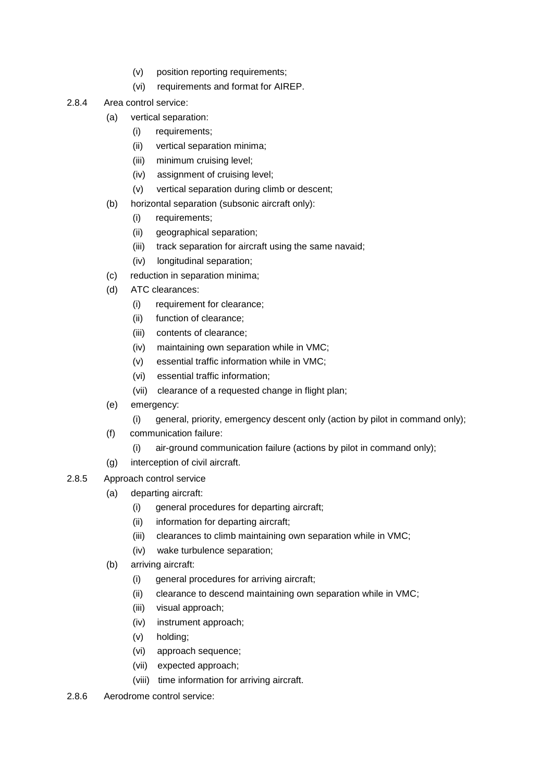- (v) position reporting requirements;
- (vi) requirements and format for AIREP.
- 2.8.4 Area control service:
	- (a) vertical separation:
		- (i) requirements;
		- (ii) vertical separation minima;
		- (iii) minimum cruising level;
		- (iv) assignment of cruising level;
		- (v) vertical separation during climb or descent;
	- (b) horizontal separation (subsonic aircraft only):
		- (i) requirements;
		- (ii) geographical separation;
		- (iii) track separation for aircraft using the same navaid;
		- (iv) longitudinal separation;
	- (c) reduction in separation minima;
	- (d) ATC clearances:
		- (i) requirement for clearance;
		- (ii) function of clearance;
		- (iii) contents of clearance;
		- (iv) maintaining own separation while in VMC;
		- (v) essential traffic information while in VMC;
		- (vi) essential traffic information;
		- (vii) clearance of a requested change in flight plan;
	- (e) emergency:
		- (i) general, priority, emergency descent only (action by pilot in command only);
	- (f) communication failure:
		- (i) air-ground communication failure (actions by pilot in command only);
	- (g) interception of civil aircraft.
- 2.8.5 Approach control service
	- (a) departing aircraft:
		- (i) general procedures for departing aircraft;
		- (ii) information for departing aircraft;
		- (iii) clearances to climb maintaining own separation while in VMC;
		- (iv) wake turbulence separation;
	- (b) arriving aircraft:
		- (i) general procedures for arriving aircraft;
		- (ii) clearance to descend maintaining own separation while in VMC;
		- (iii) visual approach;
		- (iv) instrument approach;
		- (v) holding;
		- (vi) approach sequence;
		- (vii) expected approach;
		- (viii) time information for arriving aircraft.
- 2.8.6 Aerodrome control service: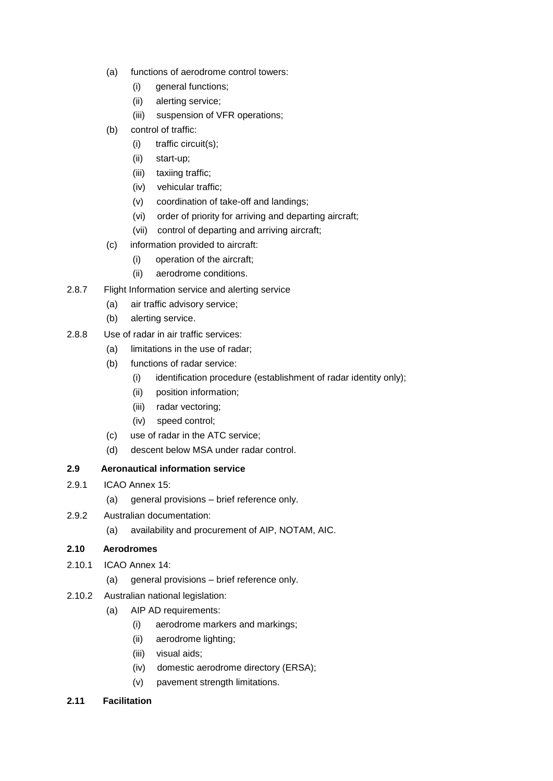- (a) functions of aerodrome control towers:
	- (i) general functions;
	- (ii) alerting service;
	- (iii) suspension of VFR operations;
- (b) control of traffic:
	- (i) traffic circuit(s);
	- (ii) start-up;
	- (iii) taxiing traffic;
	- (iv) vehicular traffic;
	- (v) coordination of take-off and landings;
	- (vi) order of priority for arriving and departing aircraft;
	- (vii) control of departing and arriving aircraft;
- (c) information provided to aircraft:
	- (i) operation of the aircraft;
	- (ii) aerodrome conditions.
- 2.8.7 Flight Information service and alerting service
	- (a) air traffic advisory service;
	- (b) alerting service.
- 2.8.8 Use of radar in air traffic services:
	- (a) limitations in the use of radar;
	- (b) functions of radar service:
		- (i) identification procedure (establishment of radar identity only);
		- (ii) position information;
		- (iii) radar vectoring;
		- (iv) speed control;
	- (c) use of radar in the ATC service;
	- (d) descent below MSA under radar control.

## **2.9 Aeronautical information service**

- 2.9.1 ICAO Annex 15:
	- (a) general provisions brief reference only.
- 2.9.2 Australian documentation:
	- (a) availability and procurement of AIP, NOTAM, AIC.

## **2.10 Aerodromes**

- 2.10.1 ICAO Annex 14:
	- (a) general provisions brief reference only.
- 2.10.2 Australian national legislation:
	- (a) AIP AD requirements:
		- (i) aerodrome markers and markings;
		- (ii) aerodrome lighting;
		- (iii) visual aids;
		- (iv) domestic aerodrome directory (ERSA);
		- (v) pavement strength limitations.
- **2.11 Facilitation**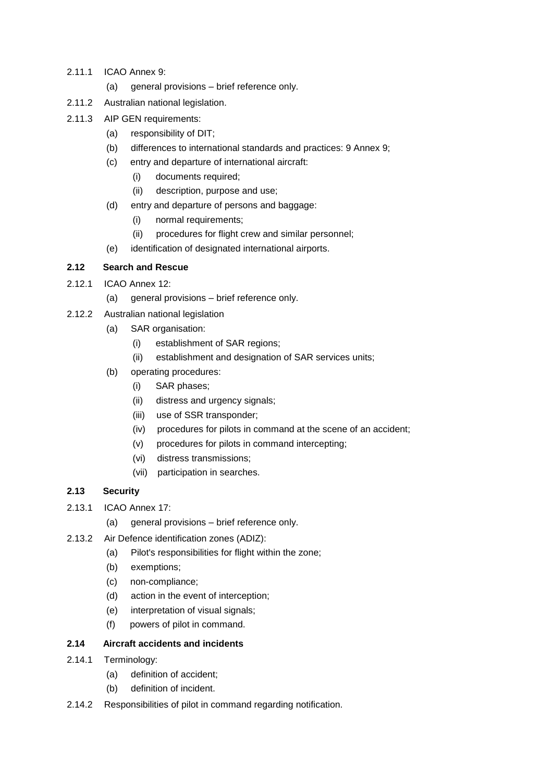- 2.11.1 ICAO Annex 9:
	- (a) general provisions brief reference only.
- 2.11.2 Australian national legislation.
- 2.11.3 AIP GEN requirements:
	- (a) responsibility of DIT;
	- (b) differences to international standards and practices: 9 Annex 9;
	- (c) entry and departure of international aircraft:
		- (i) documents required;
		- (ii) description, purpose and use;
	- (d) entry and departure of persons and baggage:
		- (i) normal requirements;
		- (ii) procedures for flight crew and similar personnel;
	- (e) identification of designated international airports.

#### **2.12 Search and Rescue**

- 2.12.1 ICAO Annex 12:
	- (a) general provisions brief reference only.
- 2.12.2 Australian national legislation
	- (a) SAR organisation:
		- (i) establishment of SAR regions;
		- (ii) establishment and designation of SAR services units;
	- (b) operating procedures:
		- (i) SAR phases;
		- (ii) distress and urgency signals;
		- (iii) use of SSR transponder;
		- (iv) procedures for pilots in command at the scene of an accident;
		- (v) procedures for pilots in command intercepting;
		- (vi) distress transmissions;
		- (vii) participation in searches.

#### **2.13 Security**

- 2.13.1 ICAO Annex 17:
	- (a) general provisions brief reference only.
- 2.13.2 Air Defence identification zones (ADIZ):
	- (a) Pilot's responsibilities for flight within the zone;
	- (b) exemptions;
	- (c) non-compliance;
	- (d) action in the event of interception;
	- (e) interpretation of visual signals;
	- (f) powers of pilot in command.

#### **2.14 Aircraft accidents and incidents**

- 2.14.1 Terminology:
	- (a) definition of accident;
	- (b) definition of incident.
- 2.14.2 Responsibilities of pilot in command regarding notification.